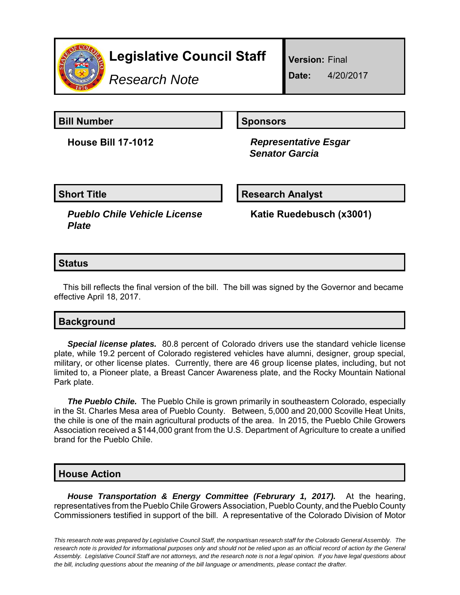

# **Legislative Council Staff**

*Research Note*

**Version:** Final

**Date:** 4/20/2017

**Bill Number Sponsors** 

**House Bill 17-1012** *Representative Esgar Senator Garcia*

**Short Title Community Community Community Research Analyst** 

*Pueblo Chile Vehicle License Plate*

**Katie Ruedebusch (x3001)**

### **Status**

This bill reflects the final version of the bill. The bill was signed by the Governor and became effective April 18, 2017.

## **Background**

*Special license plates.* 80.8 percent of Colorado drivers use the standard vehicle license plate, while 19.2 percent of Colorado registered vehicles have alumni, designer, group special, military, or other license plates. Currently, there are 46 group license plates, including, but not limited to, a Pioneer plate, a Breast Cancer Awareness plate, and the Rocky Mountain National Park plate.

**The Pueblo Chile.** The Pueblo Chile is grown primarily in southeastern Colorado, especially in the St. Charles Mesa area of Pueblo County. Between, 5,000 and 20,000 Scoville Heat Units, the chile is one of the main agricultural products of the area. In 2015, the Pueblo Chile Growers Association received a \$144,000 grant from the U.S. Department of Agriculture to create a unified brand for the Pueblo Chile.

## **House Action**

*House Transportation & Energy Committee (Februrary 1, 2017).* At the hearing, representatives from the Pueblo Chile Growers Association, Pueblo County, and the Pueblo County Commissioners testified in support of the bill. A representative of the Colorado Division of Motor

*This research note was prepared by Legislative Council Staff, the nonpartisan research staff for the Colorado General Assembly. The research note is provided for informational purposes only and should not be relied upon as an official record of action by the General Assembly. Legislative Council Staff are not attorneys, and the research note is not a legal opinion. If you have legal questions about the bill, including questions about the meaning of the bill language or amendments, please contact the drafter.*